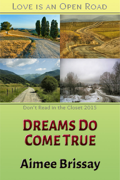## LOVE IS AN OPEN ROAD



## Don't Read in the Closet 2015

# **DREAMS DO COMETRUE Aimee Brissay**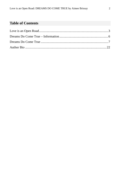## **Table of Contents**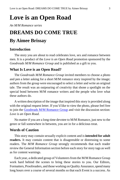## <span id="page-2-0"></span>**Love is an Open Road**

*An M/M Romance series*

## **DREAMS DO COME TRUE**

## **By Aimee Brissay**

#### **Introduction**

The story you are about to read celebrates love, sex and romance between men. It is a product of the *Love is an Open Road* promotion sponsored by the *Goodreads M/M Romance Group* and is published as a gift to you.

#### **What Is Love is an Open Road?**

The *Goodreads M/M Romance Group* invited members to choose a photo and pen a letter asking for a short M/M romance story inspired by the image; authors from the group were encouraged to select a letter and write an original tale. The result was an outpouring of creativity that shone a spotlight on the special bond between M/M romance writers and the people who love what these authors do.

A written description of the image that inspired this story is provided along with the original request letter. If you'd like to view the photo, please feel free to join the [Goodreads M/M Romance Group](http://www.goodreads.com/group/show/20149-m-m-romance) and visit the discussion section: *Love is an Open Road*.

No matter if you are a long-time devotee to M/M Romance, just new to the genre or fall somewhere in between, you are in for a delicious treat.

#### **Words of Caution**

This story may contain sexually explicit content and is **intended for adult readers.** It may contain content that is disagreeable or distressing to some readers. The *M/M Romance Group* strongly recommends that each reader review the General Information section before each story for story tags as well as for content warnings.

Each year, a dedicated group of Volunteers from the M/M Romance Group work hard behind the scenes to bring these stories to you. Our Editors, Formatters, Proofreaders, and those working on Quality Assurance, spend many long hours over a course of several months so that each Event is a success. As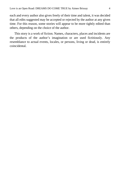each and every author also gives freely of their time and talent, it was decided that all edits suggested may be accepted or rejected by the author at any given time. For this reason, some stories will appear to be more tightly edited than others, depending on the choice of the author.

This story is a work of fiction. Names, characters, places and incidents are the products of the author's imagination or are used fictitiously. Any resemblance to actual events, locales, or persons, living or dead, is entirely coincidental.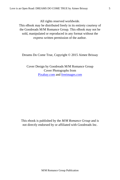All rights reserved worldwide.

This eBook may be distributed freely in its entirety courtesy of the Goodreads M/M Romance Group. This eBook may not be sold, manipulated or reproduced in any format without the express written permission of the author.

Dreams Do Come True, Copyright © 2015 Aimee Brissay

Cover Design by Goodreads M/M Romance Group Cover Photographs from [Pixabay.com](http://pixabay.com/en/) and [freeimages.com](http://www.freeimages.com/)

This ebook is published by the *M/M Romance Group* and is not directly endorsed by or affiliated with Goodreads Inc.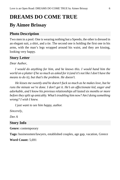## <span id="page-5-0"></span>**DREAMS DO COME TRUE**

## **By Aimee Brissay**

## **Photo Description**

Two men in a pool. One is wearing nothing but a Speedo, the other is dressed in an elegant suit, a shirt, and a tie. The second one is holding the first one in his arms, with the man's legs wrapped around his waist, and they are kissing, looking very happy.

#### **Story Letter**

*Dear Author,*

*I would do anything for him, and he knows this. I would hand him the world on a platter if he so much as asked for it (and it's not like I don't have the means to do it), but that's the problem. He doesn't.*

*He kisses me sweetly and he doesn't fuck so much as he makes love, but he runs the minute we're done. I don't get it. He's an affectionate kid, eager and adorkable, and I know his previous relationships all lasted six months or more before they split up amicably. What's troubling him now? Am I doing something wrong? I wish I knew.*

*I just want to see him happy, author.*

*Sincerely,*

*Dee A*

#### **Story Info**

**Genre:** contemporary

**Tags:** businessmen/lawyers, established couples, age gap, vacation, Greece

**Word Count:** 5,691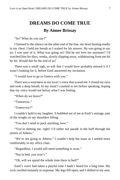## <span id="page-6-0"></span>**DREAMS DO COME TRUE By Aimee Brissay**

"So? What do you say?"

I listened to the silence on the other end of the line, my heart beating madly in my chest. I held my breath as I waited for his answer. He was going to say no. I was sure of it. What was going on? Did he not love me anymore? I'd watched him for days, weeks, slowly slipping away, withdrawing from me bit by bit. Would this be the end of us?

There was a small sigh, so soft that I would have probably missed it if I wasn't looking for it, before Emil answered my invitation.

"I would love to go to Greece with you."

There was a weariness in my lover's voice that scared me. I closed my eyes and took a deep breath. In my mind I counted to ten before speaking, hoping that my voice would not betray what I was feeling.

"When do we leave?"

"Tomorrow."

"*Tomorrow?*"

I couldn't hold in my laughter. It bubbled out of me at Emil's outrage, part of the weight on my shoulders lifting.

"You don't need to pack anything, love."

"You're shitting me, right? I'd rather not parade in the buff through the streets of Athens."

"We're not going to Athens." I couldn't help but tease as I settled more comfortably in my office chair.

"Regardless, I would still need something to wear."

"Not in bed, you won't."

"Oh, will we spend the whole time there in bed?"

Emil's voice had taken a playful tone I hadn't heard for a long time. My cock swelled instantly in response. My legs fell open, and I shifted in my seat,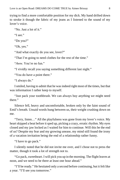trying to find a more comfortable position for my dick. My hand drifted down to stroke it though the fabric of my jeans as I listened to the sound of my lover's voice.

"No. Just a lot of it."

"I see."

"Do you?"

"Oh, yes."

"And what exactly do you see, lover?"

"That I'm going to need clothes for the rest of the time."

"*Aww*. You're no fun."

"I vividly recall you saying something different last night."

"You do have a point there."

"I always do."

I smiled, having to admit that he was indeed right most of the times, but that was information I rather keep to myself.

"Just pack your toothbrush. We can always buy anything we might need there."

Silence fell, heavy and uncomfortable, broken only by the faint sound of Emil's breath. Unsaid words hung between us, their weight crushing down on me.

"Terry, listen…" All the playfulness was gone from my lover's voice. My heart skipped a beat before it sped up, picking a crazy, erratic rhythm. My eyes closed and my jaw locked as I waited for him to continue. Will this be the end of us? Despite my fear and my growing unease, my mind still found the irony of a vacation invitation being the end of a relationship rather funny.

"I have to go pack."

I silently noted that he did not invite me over, and I chose not to press the matter, though it took a lot of strength not to.

"Go pack, sweetheart. I will pick you up in the morning. The flight leaves at noon, and we need to be there at least one hour ahead."

"I'll be ready." He hesitated only a second before continuing, but it felt like a year. "I'll see you tomorrow."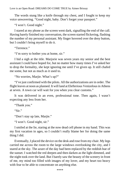The words stung like a knife through my chest, and I fought to keep my voice unwavering. "Good night, baby. Don't forget your passport."

"I won't. Good night."

I stared at my phone as the screen went dark, signalling the end of the call. Having barely finished my conversation, the screen started flickering, flashing the number of my personal assistant. My finger hovered over the deny button, but I couldn't bring myself to do it.

"Terrence."

"I'm sorry to bother you at home, sir."

I hid a sigh at the title. Marjorie was seven years my senior and the best assistant I could have hoped for, but no matter how many times I've asked her to drop the formality, she kept ignoring me until I've given up. It still chafed me some, but not as much as it used to.

"No worries, Marjie. What's up?"

"I've just confirmed with the pilots. All the authorizations are in order. The flight leaves at noon as planned. It will land at Elefterious Venizelous in Athens at seven. A town car will wait for you when you clear customs."

It was delivered in an even, professional tone. Then again, I wasn't expecting any less from her.

"Thank you."

"Sir."

"Don't stay up late, Marjie."

"I won't. Good night, sir."

I smiled at the lie, staring at the now dead cell phone in my hand. This was my first vacation in ages, so I couldn't really blame her for doing the same thing I did.

Eventually, I placed the device on the desk and rose from my chair. My legs carried me across the room to the large windows overlooking the city, and I stared at the sky. The azure of the day had been replaced by the reddish hue of the sunset. I watched the red deepen and then darken as the light dimmed, and the night took over the land. But I barely saw the beauty of the scenery in front of me, my mind too filled with images of my lover, and my heart too heavy with fear to be able to concentrate on anything else.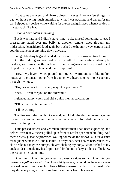Night came and went, and I barely closed my eyes. I threw a few things in a bag, without paying much attention to what I was packing, and called for my car. I sipped my coffee while waiting for the car and grimaced when it settled in my stomach like lead.

#### *I should have eaten something.*

But it was late and I didn't have time to fix myself something to eat. I pressed my hand over my belly as another rumble rolled through my midsection. I considered food again but pushed the thought away, certain that I couldn't have kept anything down anyway.

So I grabbed my bag and headed for the door. The car was waiting for me in front of the building, as promised, with my faithful driver waiting patiently by the door, so I climbed in the back and threw the luggage carelessly beside me. I flipped open my cell phone and dialled up Emil.

"Hey." My lover's voice poured into my ear, warm and soft like molten butter, all the tension gone from his tone. My heart jumped, hope coursing through my body.

"Hey, sweetheart. I'm on my way. Are you ready?"

"Yes. I'll wait for you on the sidewalk."

I glanced at my watch and did a quick mental calculation.

"I'll be there in ten minutes."

"I'll be waiting."

The line went dead without a sound, and I held the device pressed against my ear for a second longer. Perhaps my fears were unfounded. Perhaps I had been imagining it all.

Time passed slower and yet much quicker than I had been expecting, and before I was ready, the car pulled up in front of Emil's apartment building. And there he was, just as he promised, waiting for me on the sidewalk. Our eyes met through the windshield, and just like it always had, heat sizzled between us. My skin broke out in goose bumps, shivers shaking my body. Blood rushed to my cock so fast it made my head spin. Emil broke into a lazy smile, as if he knew the reaction he had on me.

*Damn him! Damn him for what his presence does to me. Damn him for making me fall in love with him.* I was thirty-seven; I should not have my knees go weak every time I saw him like a fifteen-year-old with his first crush! Yet they did every single time I saw Emil's smile or heard his voice.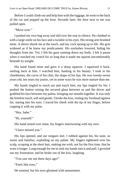Before I could climb out and help him with the luggage, he went to the back of the car and popped up the boot. Seconds later, the door next to me was pulled open.

"Move over."

I pushed my own bag away and slid over the seat in silence. He climbed in with a large smile on his face and a twinkle in his eyes. His strong arm brushed mine. A shiver shook me at the touch, and my cock sprang up to life. His grin widened as if he knew my predicament. His eyelashes lowered, hiding his thoughts from me. Yet, I felt his gaze running down my body. I felt it pause when it reached my crotch for so long that it made me squirm uncomfortably beneath its weight.

His hand found mine and gave it a sharp squeeze. I squeezed it back, smiling back at him. I watched him, basking in his beauty. I took in his cheekbones, the curve of his chin, the shape of his lips. He was twenty-seven years old, ten years my junior, yet in some ways he was more mature than me.

My hands tingled to reach out and touch him; my lips tingled for his. I pushed the button raising the secured glass between us and the driver and grabbed his face between my palms, bringing our mouths together. It was only the briefest touch, soft and gentle. I broke the kiss, resting my forehead against his, staring into his eyes. I traced his cheek with the tip of my finger, before cupping it with my palm.

"Hey, babe."

"Hi, yourself."

His hand rested over mine, his fingers intertwining with my own.

"I have missed you."

His lips opened, and our tongues met. I rubbed against his, his taste, so sweet and familiar, exploding on my palate. My fingers tightened over his scalp, scraping at the short hair, making me wish, not for the first time, that he wore it longer. Long enough for me to sink my hands into it and pull. I growled out my frustration, and he broke out of the kiss, laughing.

"You saw me not three days ago!"

"Feels like *eons*."

He snorted, but his eyes gleamed with amusement.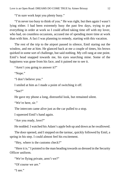"I'm sure work kept you plenty busy."

"I'm never too busy to think of you." He was right, but then again I wasn't lying either. I had been extremely busy the past few days, trying to put everything in order at work so I could afford taking time off with my lover, who had, on countless occasions, accused me of spending more time at work than with him. A fact I was planning to remedy, starting with this vacation.

The rest of the trip to the airport passed in silence, Emil staring out the window, and me at him. He glanced back at me a couple of times, his brows quirked in some sort of challenge, but said nothing. My cell rang at one point. Emil's head snapped towards me, his eyes searching mine. Some of the happiness was gone from his face, and it pained me to see it.

"Aren't you going to answer it?"

"Nope."

"I don't believe you."

I smiled at him as I made a point of switching it off.

"See?"

He gave my phone a long, distrustful look, but remained silent.

"We're here, sir."

The intercom came alive just as the car pulled to a stop.

I squeezed Emil's hand again.

"Are you ready, love?"

He nodded. I watched his Adam's apple bob up and down as he swallowed.

The door opened, and I stepped on the tarmac, quickly followed by Emil, a spring in his step. I could almost feel his excitement.

"Hey, where is the customs check?"

"Here it is." I pointed to the man heading towards us dressed in the Security Officer uniform.

"We're flying private, aren't we?"

"Of course we are."

"I see."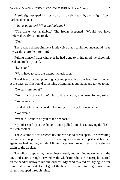A soft sigh escaped his lips, so soft I barely heard it, and a light frown darkened his face.

*What is going on? What am I missing?*

"The plane was available." The frown deepened. "Would you have preferred we fly commercial?"

"No."

There was a disappointment in his voice that I could not understand. Was my wealth a problem for him?

Pulling himself from wherever he had gone to in his mind, he shook his head and took my hand.

"Let's go."

"We'll have to pass the passport check first."

The driver brought up our luggage and placed it by our feet. Emil frowned at the bags, as if he found something offending about them, and turned to me.

"No suits, my love?"

"No. It's a vacation. I don't plan to do any work, so no need for any suits."

"Not even a tie?"

I smiled at him and leaned in to briefly brush my lips against his.

"Not even."

"What if I want to tie you to the bedpost?"

My pulse sped up at the thought, and I pulled him closer, craving the fleshto-flesh contact.

The customs officer reached us, and we had to break apart. The travelling documents were presented. The check was quick and rather superficial, but then again, we had nothing to hide. Minutes later, we took our seats in the elegant cabin of the airplane.

The pilots strapped in, the engines started, and in minutes we were in the air. Emil stared through the window the whole time, but the iron grip he exerted on the handles betrayed his anxiousness. My hand covered his, trying to offer him a bit of comfort. He let go of the handle, his palm turning upward, his fingers wrapped through mine.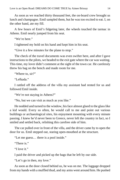As soon as we reached thirty thousand feet, the on-board crew brought us lunch and champagne. Emil sampled them, but he was too excited to eat. I, on the other hand, ate my fill.

A few hours of Emil's fidgeting later, the wheels touched the tarmac in Athens. Emil nearly jumped from his seat.

"We're here."

I tightened my hold on his hand and kept him in his seat.

"Give it a few minutes for the plane to stop."

The check of the travel documents was even swifter here, and after I gave instructions to the pilots, we headed to the exit gate where the car was waiting. This time, my lover didn't comment at the sight of the town car. He carelessly threw his bag on the bench and made room for me.

```
"Where to, sir?"
```
"Lefkada."

I rattled off the address of the villa my assistant had rented for us and followed Emil inside.

"We're not staying in Athens?"

"No, but we can visit as much as you like."

He nodded and turned to the window, his face almost glued to the glass like a kid would. Every so often, he would call to me and point out various buildings or archaeological sites, his enjoyment mounting with every minute passing. I knew he'd never been to Greece, never left the country in fact, so I smiled and settled back, relishing this carefree side of him.

The car pulled over in front of the villa, and the driver came by to open the door for us. Emil stepped out, staring open-mouthed at the structure.

"Let me guess… there is a pool inside."

"There is."

"I love it."

I paid the driver and picked up the bags that he left by our side.

"Let's go in then, my love."

As soon as the door closed behind us, he was on me. The luggage dropped from my hands with a muffled thud, and my arms went around him. He pushed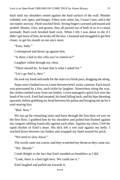back until my shoulders rested against the hard surface of the wall. Mouths collided, wet, open, and hungry. Fabric tore; mine, his, I wasn't sure, and it did not matter anyway. Flesh touched flesh. Strong fingers caressed and teased and probed. Moans, cries, and groans, they all poured out of both of us in a carnal serenade. Hard cock brushed hard cock. When I felt I was about to die if I didn't get more of him, he broke off the kiss. I moaned and struggled to get him closer, to get his mouth on me once more.

"Easy, baby."

I whimpered and thrust up against him.

"Is there a bed in this villa you've rented us?"

Laughter rolled through my chest.

"There should be. At least that is what I asked for."

"Let's go find it, then."

He took my hand and made for the stairs at a brisk pace, dragging me along.

Steps were climbed two at a time between brief, erotic caresses. Each touch was punctuated by a kiss, each tickle by laughter. Somewhere along the way, the clothes melted away from our bodies. I even managed a quick lick over the head of his cock. Emil had moaned, his head falling back, and his hips thrusting upwards, before grabbing my head between his palms and bringing me up for a soul-searing kiss.

"Bed. Now."

We ran up the remaining stairs and burst through the first door we saw on the first floor. I grabbed him by his shoulders and pulled him flushed against me, tongues rubbing frantically against each other. Against my chest, I felt the rapid rhythm of Emil's heart. His dick left a wet trail against my belly. I reached down between our bodies and wrapped my hand around his prick.

"We need to slow down."

The words came out coarse, and they scratched my throat as they came out.

"We. Should."

I took delight in the fact that Emil sounded as breathless as I did.

"Look, there is a bed right here. We could use it."

Emil laughed and pulled me towards it.

\*\*\*\*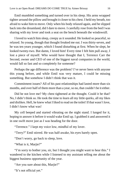Emil mumbled something and turned over in his sleep. His arms wrapped tighter around the pillow and brought it closer to his chest. I held my breath, too afraid to wake him to move. Only when his body relaxed again, and he slipped back into the dreamland, did I dare to move. I carefully rose from the bed I was sharing with my lover and took a seat on the bench beneath the windowsill.

I loved to watch him sleep, creepy as it sounded. He looked so peaceful, so relaxed. So young, though that thought freaked me out. I was thirty-seven, and he was ten years younger, which I found disturbing at first. When he slept, he looked twenty-two. But damn, I loved him! Every time I felt him pull away, I lost a piece of myself. Who would have thought that I, Terrence Carr the Second, owner and CEO of one of the biggest naval companies in the world, would fall so fast and so completely for someone?

Perhaps the age difference was the problem? I've never been with anyone this young before, and while Emil was very mature, I could be missing something. But somehow I didn't think that was it.

Commitment issues? All of his past relationships had lasted more than six months, and over half of them more than a year, so no, that couldn't be it either.

Did he not love me? My chest tightened at the thought. Could it be that? No, I didn't think so. He took the time to learn all my little quirks, all my likes and dislikes. Hell, he knew what I liked to read on the toilet! If that wasn't love, I didn't know what was!

My cell beeped and started vibrating on the night stand. I lunged for it, hoping to answer it before it would wake Emil up. I grabbed it and answered it in one swift move just as I was heading for the door.

"Terrence." I kept my voice low, mindful of my lover.

"Terry?" Emil stirred. He was half-awake, his eyes barely open.

"Don't worry, go back to sleep, love.

"What is it, Marjie?"

"I'm sorry to bother you, sir, but I thought you might want to hear this." I wandered to the kitchen while I listened to my assistant telling me about the biggest business opportunity of the year.

"Are you sure about this, Marjie?"

"It's not official yet."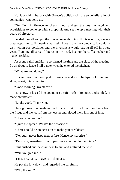No, it wouldn't be, but with Greece's political climate so volatile, a lot of companies went belly up.

"Get Tom in finance to check it out and get the guys in legal and acquisitions to come up with a proposal. And set me up a meeting with their board of directors."

I ended the call and put the phone down, thinking. If this was true, it was a great opportunity. If the price was right, I could buy the company. It would fit well within our portfolio, and the investment would pay itself off in a few years. Running all sorts of figures in my head, I set up the coffee maker and made breakfast.

A second call from Marjie confirmed the time and the place of the meeting. I was about to leave Emil a note when he entered the kitchen.

"What are you doing?"

He came over and wrapped his arms around me. His lips took mine in a slow, sweet, mint-like kiss.

"Good morning, sweetheart."

"It is now." I kissed him again, just a soft brush of tongues, and smiled. "I made breakfast."

"Looks good. Thank you."

I brought over the omelette I had made for him. Took out the cheese from the fridge and the toast from the toaster and placed them in front of him.

"There's coffee too."

"Quite the spread. What's the occasion?"

"There should be an occasion to make you breakfast?"

"No, but it never happened before. Hence my surprise."

"I'm sorry, sweetheart. I will pay more attention in the future."

Emil pushed out the chair next to him and gestured me to it.

"Will you join me?"

"I'm sorry, baby, I have to pick up a suit."

He put the fork down and regarded me carefully.

"Why the suit?"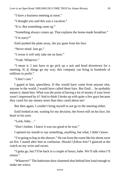"I have a business meeting at noon."

"I thought you said this was a vacation."

"It is. But something came up."

"Something always comes up. That explains the home-made breakfast."

"I'm sorry?"

Emil pushed the plate away, the joy gone from his face.

"Never mind. Just go."

"I swear it will only take me an hour."

"Yeah. Whatever."

"I mean it. I just have to go pick up a suit and head downtown for a meeting. If, *if*, things go my way, this company can bring in hundreds of millions in profit."

"I don't care."

I gaped at him, speechless. If this would have come from anyone else, anyone in the world, I would have called them liars. But Emil… he probably meant it, damn him. What was the point of having a lot of money if your lover wasn't impressed by it? And to think I broke up with quite a few guys because they cared for my money more than they cared about me!

But then again, I couldn't bring myself to not go to the meeting either.

Emil looked at me, waiting for my decision, the frown still on his face, his heart in his eyes.

"Look, baby…"

"Don't bother. I knew it was too good to be true."

I opened my mouth to say something, *anything*, but what, I didn't know.

"I'm going to hop in the shower." He ran from the room like his shorts were on fire. I stared after him in confusion. *Should I follow him?* I glanced at the watch on my wrist and swore.

"I gotta go, but I'll be back in a couple of hours, babe. We'll talk when I'll return."

"Whatever!" The bathroom door slammed shut behind him loud enough to make me wince.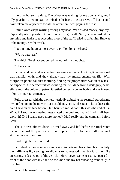I left the house in a daze. The driver was waiting for me downstairs, and I idly gave him directions as I climbed in the back. The car drove off, but it could have taken me anywhere for all the attention I was paying the road.

Emil's words kept swirling through my head. Who dissed money, anyway? Especially when you didn't have much to begin with. Sure, he never asked for anything and had issues accepting most of the stuff I tried to offer him. But was it the money? Or the work?

I put in long hours almost every day. Too long perhaps?

"We're here, sir."

The thick Greek accent pulled me out of my thoughts.

"Thank you."

I climbed down and headed for the store's entrance. Luckily, it was a store I was familiar with, and they already had my measurements on file. With Marjorie's phone call that morning, finding the proper attire was an easy task. As expected, the perfect suit was waiting for me. Made from a dark grey, heavy silk, almost the colour of petrol, it settled perfectly on my body and was in need of only minor adjustments.

Fully dressed, with the workers hurriedly adjusting the seams, I stared at my own reflection in the mirror, but I could only see Emil's face. The sadness, the pain I saw on his face before I left haunted me. What if this was the end of us? What if I took one meeting, negotiated one deal too many? Had it all been worth it? Did I really need more money? Did I really put the company before Emil?

The suit was almost done. I turned away and left before the final stitch meant to adjust the pant leg was put in place. The tailor called after me as I stormed out of the store.

I had to go home. To Emil.

I climbed in the car in haste and asked to be taken back. And fast. Luckily, the traffic was light enough to allow us to make good time, but it still felt like an eternity. I dashed out of the vehicle before it even came to a stop. I paused in front of the door with my hand on the knob and my heart beating frantically in my chest.

What if he wasn't there anymore?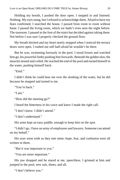Holding my breath, I pushed the door open. I stepped in and listened. Nothing. My eyes stung, but I refused to acknowledge them. Afraid to have my fears confirmed, I searched the house. I passed from room to room without haste. I passed the living room, which we hadn't even seen the night before. The sunroom. I paused at the foot of the stairs but decided against taking them. Not before I was sure I properly checked the ground floor.

My breath hitched and my heart nearly stopped when I noticed the terrace doors were open. I rushed out still half-afraid he wouldn't be there.

But he was, swimming furiously in the pool. I stood frozen and watched him go, his powerful limbs pushing him forwards. Beneath the golden skin, the muscles tensed and coiled. He reached the end of the pool and turned himself in the water, pushing himself back.

"Emil."

I didn't think he could hear me over the sloshing of the water, but he did because he stopped and turned to me.

"You're back."

" $I$  am"

"How did the meeting go?"

I heard the bitterness in his voice and knew I made the right call.

"I don't know. I didn't attend."

"I don't understand."

His arms kept an easy paddle, enough to keep him on the spot.

"I didn't go. I have an army of employees and lawyers. Someone can attend on my behalf."

His eyes went wide as they met mine; hope, fear, and confusion were all written in them.

"But it was important to you."

"You are more important."

His jaw dropped and he stared at me, speechless. I grinned at him and jumped in the pool, new suit, shoes, and all.

"I don't believe you."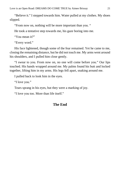"Believe it." I stepped towards him. Water pulled at my clothes. My shoes slipped.

"From now on, nothing will be more important than you. "

He took a tentative step towards me, his gaze boring into me.

"You mean it?"

"Every word."

His face lightened, though some of the fear remained. Yet he came to me, closing the remaining distance, but he did not touch me. My arms went around his shoulders, and I pulled him close gently.

"I swear to you. From now on, no one will come before you." Our lips touched. His hands wrapped around me. My palms found his butt and locked together, lifting him in my arms. His legs fell apart, snaking around me.

I pulled back to look him in the eyes.

"I love you."

Tears sprang in his eyes, but they were a marking of joy.

"I love you too. More than life itself."

## **The End**